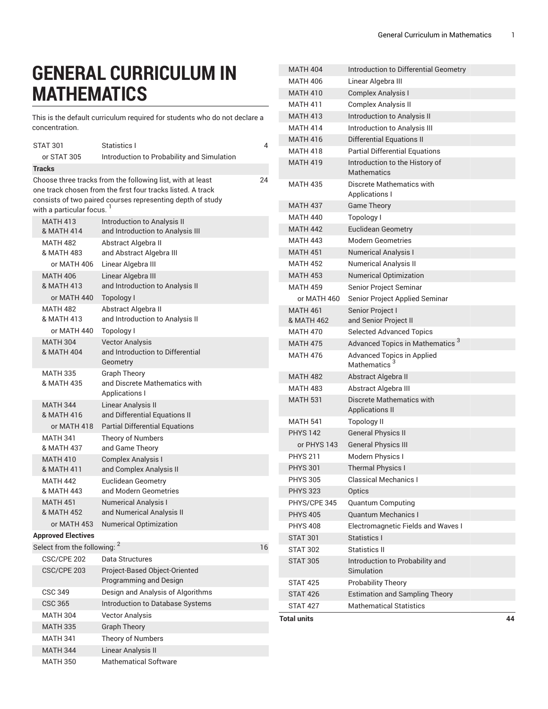## **GENERAL CURRICULUM IN MATHEMATICS**

This is the default curriculum required for students who do not declare a concentration.

|                                                                                                                                                                                                                                            | STAT 301                                                | Statistics I                                                                              | 4  |  |
|--------------------------------------------------------------------------------------------------------------------------------------------------------------------------------------------------------------------------------------------|---------------------------------------------------------|-------------------------------------------------------------------------------------------|----|--|
|                                                                                                                                                                                                                                            | or STAT 305                                             | Introduction to Probability and Simulation                                                |    |  |
|                                                                                                                                                                                                                                            |                                                         |                                                                                           |    |  |
| <b>Tracks</b><br>Choose three tracks from the following list, with at least<br>24<br>one track chosen from the first four tracks listed. A track<br>consists of two paired courses representing depth of study<br>with a particular focus. |                                                         |                                                                                           |    |  |
|                                                                                                                                                                                                                                            | <b>MATH 413</b><br><b>&amp; MATH 414</b>                | Introduction to Analysis II<br>and Introduction to Analysis III                           |    |  |
|                                                                                                                                                                                                                                            | <b>MATH 482</b><br><b>&amp; MATH 483</b><br>or MATH 406 | Abstract Algebra II<br>and Abstract Algebra III<br>Linear Algebra III                     |    |  |
|                                                                                                                                                                                                                                            | <b>MATH 406</b><br>& MATH 413<br>or MATH 440            | Linear Algebra III<br>and Introduction to Analysis II<br>Topology I                       |    |  |
|                                                                                                                                                                                                                                            | <b>MATH 482</b><br>& MATH 413<br>or MATH 440            | Abstract Algebra II<br>and Introduction to Analysis II<br>Topology I                      |    |  |
|                                                                                                                                                                                                                                            | <b>MATH 304</b><br><b>&amp; MATH 404</b>                | <b>Vector Analysis</b><br>and Introduction to Differential<br>Geometry                    |    |  |
|                                                                                                                                                                                                                                            | <b>MATH 335</b><br><b>&amp; MATH 435</b>                | <b>Graph Theory</b><br>and Discrete Mathematics with<br>Applications I                    |    |  |
|                                                                                                                                                                                                                                            | <b>MATH 344</b><br>& MATH 416                           | Linear Analysis II<br>and Differential Equations II                                       |    |  |
|                                                                                                                                                                                                                                            | or MATH 418                                             | <b>Partial Differential Equations</b>                                                     |    |  |
|                                                                                                                                                                                                                                            | <b>MATH 341</b><br>& MATH 437                           | Theory of Numbers<br>and Game Theory                                                      |    |  |
|                                                                                                                                                                                                                                            | <b>MATH 410</b><br>& MATH 411                           | <b>Complex Analysis I</b><br>and Complex Analysis II                                      |    |  |
|                                                                                                                                                                                                                                            | <b>MATH 442</b><br>& MATH 443                           | <b>Euclidean Geometry</b><br>and Modern Geometries                                        |    |  |
|                                                                                                                                                                                                                                            | <b>MATH 451</b><br><b>&amp; MATH 452</b><br>or MATH 453 | <b>Numerical Analysis I</b><br>and Numerical Analysis II<br><b>Numerical Optimization</b> |    |  |
|                                                                                                                                                                                                                                            | <b>Approved Electives</b>                               |                                                                                           |    |  |
|                                                                                                                                                                                                                                            | Select from the following: <sup>2</sup>                 |                                                                                           | 16 |  |
|                                                                                                                                                                                                                                            | CSC/CPE 202                                             | Data Structures                                                                           |    |  |
|                                                                                                                                                                                                                                            | CSC/CPE 203                                             | Project-Based Object-Oriented<br>Programming and Design                                   |    |  |
|                                                                                                                                                                                                                                            | <b>CSC 349</b>                                          | Design and Analysis of Algorithms                                                         |    |  |
|                                                                                                                                                                                                                                            | <b>CSC 365</b>                                          | Introduction to Database Systems                                                          |    |  |
|                                                                                                                                                                                                                                            | <b>MATH 304</b>                                         | <b>Vector Analysis</b>                                                                    |    |  |
|                                                                                                                                                                                                                                            | <b>MATH 335</b>                                         | <b>Graph Theory</b>                                                                       |    |  |
|                                                                                                                                                                                                                                            | <b>MATH 341</b>                                         | Theory of Numbers                                                                         |    |  |
|                                                                                                                                                                                                                                            | <b>MATH 344</b>                                         | Linear Analysis II                                                                        |    |  |
|                                                                                                                                                                                                                                            | <b>MATH 350</b>                                         | <b>Mathematical Software</b>                                                              |    |  |

| Total units<br>44                  |                                                          |  |  |  |  |
|------------------------------------|----------------------------------------------------------|--|--|--|--|
| <b>STAT 427</b>                    | <b>Mathematical Statistics</b>                           |  |  |  |  |
| <b>STAT 426</b>                    | <b>Estimation and Sampling Theory</b>                    |  |  |  |  |
| <b>STAT 425</b>                    | Probability Theory                                       |  |  |  |  |
|                                    | Simulation                                               |  |  |  |  |
| <b>STAT 305</b>                    | Introduction to Probability and                          |  |  |  |  |
| <b>STAT 302</b>                    | Statistics II                                            |  |  |  |  |
| <b>STAT 301</b>                    | Statistics I                                             |  |  |  |  |
| <b>PHYS 408</b>                    | Electromagnetic Fields and Waves I                       |  |  |  |  |
| <b>PHYS 405</b>                    | <b>Quantum Computing</b><br><b>Quantum Mechanics I</b>   |  |  |  |  |
| PHYS/CPE 345                       |                                                          |  |  |  |  |
| <b>PHYS 323</b>                    | Optics                                                   |  |  |  |  |
| <b>PHYS 305</b>                    | <b>Classical Mechanics I</b>                             |  |  |  |  |
| <b>PHYS 301</b>                    | Modern Physics I<br><b>Thermal Physics I</b>             |  |  |  |  |
| or PHYS 143<br><b>PHYS 211</b>     | <b>General Physics III</b>                               |  |  |  |  |
|                                    | <b>General Physics II</b>                                |  |  |  |  |
| <b>PHYS 142</b>                    | <b>Topology II</b>                                       |  |  |  |  |
| <b>MATH 541</b>                    | <b>Applications II</b>                                   |  |  |  |  |
| <b>MATH 531</b>                    | Abstract Algebra III<br><b>Discrete Mathematics with</b> |  |  |  |  |
| <b>MATH 482</b><br><b>MATH 483</b> | Abstract Algebra II                                      |  |  |  |  |
|                                    | Mathematics <sup>3</sup>                                 |  |  |  |  |
| <b>MATH 476</b>                    | <b>Advanced Topics in Applied</b>                        |  |  |  |  |
| <b>MATH 475</b>                    | Advanced Topics in Mathematics <sup>3</sup>              |  |  |  |  |
| <b>MATH 470</b>                    | <b>Selected Advanced Topics</b>                          |  |  |  |  |
| <b>MATH 461</b><br>& MATH 462      | Senior Project I<br>and Senior Project II                |  |  |  |  |
| or MATH 460                        | Senior Project Applied Seminar                           |  |  |  |  |
| <b>MATH 459</b>                    | Senior Project Seminar                                   |  |  |  |  |
| <b>MATH 453</b>                    | <b>Numerical Optimization</b>                            |  |  |  |  |
| <b>MATH 452</b>                    | <b>Numerical Analysis II</b>                             |  |  |  |  |
| <b>MATH 451</b>                    | <b>Numerical Analysis I</b>                              |  |  |  |  |
| <b>MATH 443</b>                    | Modern Geometries                                        |  |  |  |  |
| <b>MATH 442</b>                    | <b>Euclidean Geometry</b>                                |  |  |  |  |
| <b>MATH 440</b>                    | Topology I                                               |  |  |  |  |
| <b>MATH 437</b>                    | <b>Game Theory</b>                                       |  |  |  |  |
| <b>MATH 435</b>                    | Discrete Mathematics with<br><b>Applications I</b>       |  |  |  |  |
| <b>MATH 419</b>                    | Introduction to the History of<br><b>Mathematics</b>     |  |  |  |  |
| <b>MATH 418</b>                    | <b>Partial Differential Equations</b>                    |  |  |  |  |
| <b>MATH 416</b>                    | <b>Differential Equations II</b>                         |  |  |  |  |
| <b>MATH 414</b>                    | Introduction to Analysis III                             |  |  |  |  |
| <b>MATH 413</b>                    | Introduction to Analysis II                              |  |  |  |  |
| <b>MATH 411</b>                    | Complex Analysis II                                      |  |  |  |  |
| <b>MATH 410</b>                    | <b>Complex Analysis I</b>                                |  |  |  |  |
| <b>MATH 406</b>                    | Linear Algebra III                                       |  |  |  |  |
| <b>MATH 404</b>                    | Introduction to Differential Geometry                    |  |  |  |  |
|                                    |                                                          |  |  |  |  |